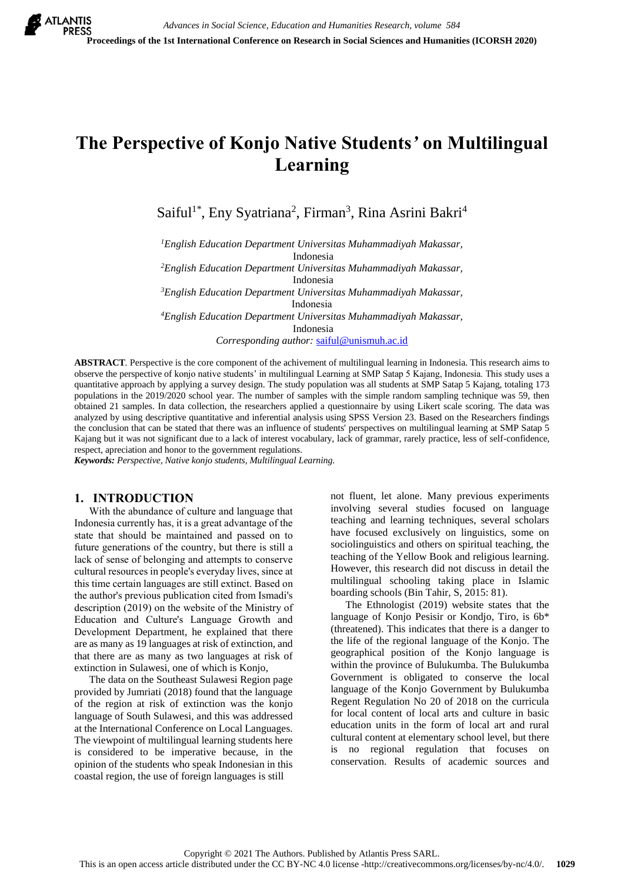# **The Perspective of Konjo Native Students***'* **on Multilingual Learning**

Saiful<sup>1\*</sup>, Eny Syatriana<sup>2</sup>, Firman<sup>3</sup>, Rina Asrini Bakri<sup>4</sup>

*<sup>1</sup>English Education Department Universitas Muhammadiyah Makassar,* Indonesia

*<sup>2</sup>English Education Department Universitas Muhammadiyah Makassar,* Indonesia

*<sup>3</sup>English Education Department Universitas Muhammadiyah Makassar,* Indonesia *<sup>4</sup>English Education Department Universitas Muhammadiyah Makassar,* Indonesia

*Corresponding author:* [saiful@unismuh.ac.id](mailto:saiful@unismuh.ac.id)

**ABSTRACT***.* Perspective is the core component of the achivement of multilingual learning in Indonesia. This research aims to observe the perspective of konjo native students' in multilingual Learning at SMP Satap 5 Kajang, Indonesia. This study uses a quantitative approach by applying a survey design. The study population was all students at SMP Satap 5 Kajang, totaling 173 populations in the 2019/2020 school year. The number of samples with the simple random sampling technique was 59, then obtained 21 samples. In data collection, the researchers applied a questionnaire by using Likert scale scoring. The data was analyzed by using descriptive quantitative and inferential analysis using SPSS Version 23. Based on the Researchers findings the conclusion that can be stated that there was an influence of students' perspectives on multilingual learning at SMP Satap 5 Kajang but it was not significant due to a lack of interest vocabulary, lack of grammar, rarely practice, less of self-confidence, respect, apreciation and honor to the government regulations.

*Keywords: Perspective, Native konjo students, Multilingual Learning.*

## **1. INTRODUCTION**

With the abundance of culture and language that Indonesia currently has, it is a great advantage of the state that should be maintained and passed on to future generations of the country, but there is still a lack of sense of belonging and attempts to conserve cultural resources in people's everyday lives, since at this time certain languages are still extinct. Based on the author's previous publication cited from Ismadi's description (2019) on the website of the Ministry of Education and Culture's Language Growth and Development Department, he explained that there are as many as 19 languages at risk of extinction, and that there are as many as two languages at risk of extinction in Sulawesi, one of which is Konjo,

The data on the Southeast Sulawesi Region page provided by Jumriati (2018) found that the language of the region at risk of extinction was the konjo language of South Sulawesi, and this was addressed at the International Conference on Local Languages. The viewpoint of multilingual learning students here is considered to be imperative because, in the opinion of the students who speak Indonesian in this coastal region, the use of foreign languages is still

not fluent, let alone. Many previous experiments involving several studies focused on language teaching and learning techniques, several scholars have focused exclusively on linguistics, some on sociolinguistics and others on spiritual teaching, the teaching of the Yellow Book and religious learning. However, this research did not discuss in detail the multilingual schooling taking place in Islamic boarding schools (Bin Tahir, S, 2015: 81).

The Ethnologist (2019) website states that the language of Konjo Pesisir or Kondjo, Tiro, is 6b\* (threatened). This indicates that there is a danger to the life of the regional language of the Konjo. The geographical position of the Konjo language is within the province of Bulukumba. The Bulukumba Government is obligated to conserve the local language of the Konjo Government by Bulukumba Regent Regulation No 20 of 2018 on the curricula for local content of local arts and culture in basic education units in the form of local art and rural cultural content at elementary school level, but there is no regional regulation that focuses on conservation. Results of academic sources and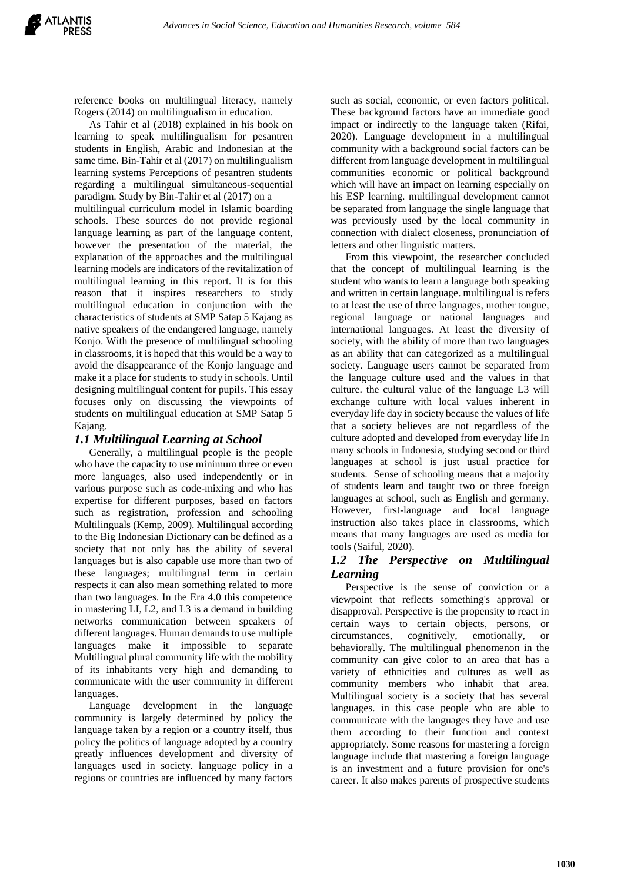reference books on multilingual literacy, namely Rogers (2014) on multilingualism in education.

As Tahir et al (2018) explained in his book on learning to speak multilingualism for pesantren students in English, Arabic and Indonesian at the same time. Bin-Tahir et al (2017) on multilingualism learning systems Perceptions of pesantren students regarding a multilingual simultaneous-sequential paradigm. Study by Bin-Tahir et al (2017) on a multilingual curriculum model in Islamic boarding schools. These sources do not provide regional language learning as part of the language content, however the presentation of the material, the explanation of the approaches and the multilingual learning models are indicators of the revitalization of multilingual learning in this report. It is for this reason that it inspires researchers to study multilingual education in conjunction with the characteristics of students at SMP Satap 5 Kajang as native speakers of the endangered language, namely Konjo. With the presence of multilingual schooling in classrooms, it is hoped that this would be a way to avoid the disappearance of the Konjo language and make it a place for students to study in schools. Until designing multilingual content for pupils. This essay focuses only on discussing the viewpoints of students on multilingual education at SMP Satap 5 Kajang.

## *1.1 Multilingual Learning at School*

Generally, a multilingual people is the people who have the capacity to use minimum three or even more languages, also used independently or in various purpose such as code-mixing and who has expertise for different purposes, based on factors such as registration, profession and schooling Multilinguals (Kemp, 2009). Multilingual according to the Big Indonesian Dictionary can be defined as a society that not only has the ability of several languages but is also capable use more than two of these languages; multilingual term in certain respects it can also mean something related to more than two languages. In the Era 4.0 this competence in mastering LI, L2, and L3 is a demand in building networks communication between speakers of different languages. Human demands to use multiple languages make it impossible to separate Multilingual plural community life with the mobility of its inhabitants very high and demanding to communicate with the user community in different languages.

Language development in the language community is largely determined by policy the language taken by a region or a country itself, thus policy the politics of language adopted by a country greatly influences development and diversity of languages used in society. language policy in a regions or countries are influenced by many factors

such as social, economic, or even factors political. These background factors have an immediate good impact or indirectly to the language taken (Rifai, 2020). Language development in a multilingual community with a background social factors can be different from language development in multilingual communities economic or political background which will have an impact on learning especially on his ESP learning. multilingual development cannot be separated from language the single language that was previously used by the local community in connection with dialect closeness, pronunciation of letters and other linguistic matters.

From this viewpoint, the researcher concluded that the concept of multilingual learning is the student who wants to learn a language both speaking and written in certain language. multilingual is refers to at least the use of three languages, mother tongue, regional language or national languages and international languages. At least the diversity of society, with the ability of more than two languages as an ability that can categorized as a multilingual society. Language users cannot be separated from the language culture used and the values in that culture. the cultural value of the language L3 will exchange culture with local values inherent in everyday life day in society because the values of life that a society believes are not regardless of the culture adopted and developed from everyday life In many schools in Indonesia, studying second or third languages at school is just usual practice for students. Sense of schooling means that a majority of students learn and taught two or three foreign languages at school, such as English and germany. However, first-language and local language instruction also takes place in classrooms, which means that many languages are used as media for tools (Saiful, 2020).

## *1.2 The Perspective on Multilingual Learning*

Perspective is the sense of conviction or a viewpoint that reflects something's approval or disapproval. Perspective is the propensity to react in certain ways to certain objects, persons, or circumstances, cognitively, emotionally, or behaviorally. The multilingual phenomenon in the community can give color to an area that has a variety of ethnicities and cultures as well as community members who inhabit that area. Multilingual society is a society that has several languages. in this case people who are able to communicate with the languages they have and use them according to their function and context appropriately. Some reasons for mastering a foreign language include that mastering a foreign language is an investment and a future provision for one's career. It also makes parents of prospective students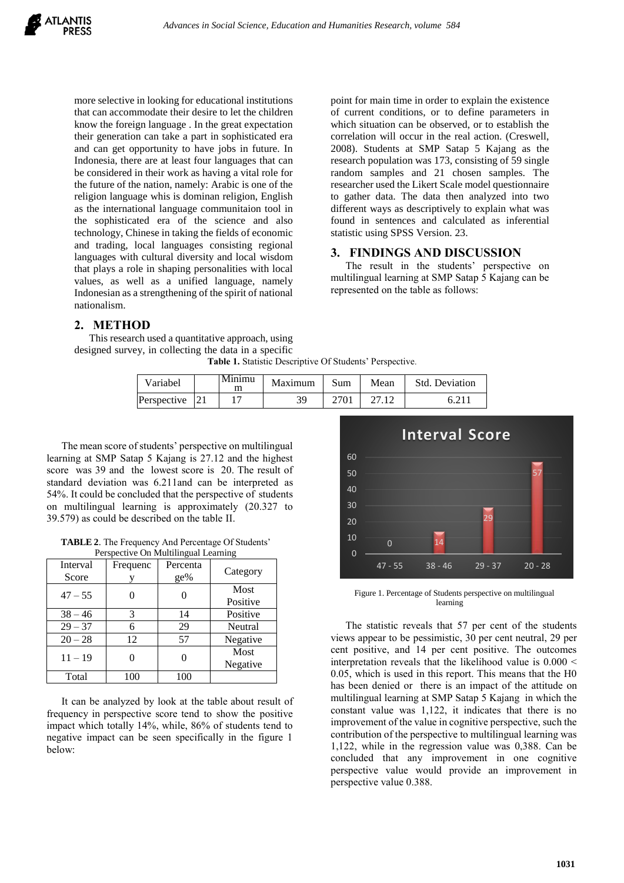

more selective in looking for educational institutions that can accommodate their desire to let the children know the foreign language . In the great expectation their generation can take a part in sophisticated era and can get opportunity to have jobs in future. In Indonesia, there are at least four languages that can be considered in their work as having a vital role for the future of the nation, namely: Arabic is one of the religion language whis is dominan religion, English as the international language communitaion tool in the sophisticated era of the science and also technology, Chinese in taking the fields of economic and trading, local languages consisting regional languages with cultural diversity and local wisdom that plays a role in shaping personalities with local values, as well as a unified language, namely Indonesian as a strengthening of the spirit of national nationalism.

**2. METHOD**

This research used a quantitative approach, using designed survey, in collecting the data in a specific

**Table 1.** Statistic Descriptive Of Students' Perspective.

| Variabel       | Minimu<br>m | Maximum | Sum  | Mean | Std. Deviation |
|----------------|-------------|---------|------|------|----------------|
| Perspective 21 |             | 39      | 2701 |      |                |

The mean score of students' perspective on multilingual learning at SMP Satap 5 Kajang is 27.12 and the highest score was 39 and the lowest score is 20. The result of standard deviation was 6.211and can be interpreted as 54%. It could be concluded that the perspective of students on multilingual learning is approximately (20.327 to 39.579) as could be described on the table II.

**TABLE 2**. The Frequency And Percentage Of Students' Perspective On Multilingual Learning

| Interval<br>Score | Frequenc | Percenta<br>ge% | Category         |  |
|-------------------|----------|-----------------|------------------|--|
| $47 - 55$         |          |                 | Most<br>Positive |  |
| $38 - 46$         | 3        | 14              | Positive         |  |
| $29 - 37$         | 6        | 29              | Neutral          |  |
| $20 - 28$         | 12       | 57              | Negative         |  |
| $11 - 19$         |          |                 | Most<br>Negative |  |
| Total             | 100      | 100             |                  |  |

It can be analyzed by look at the table about result of frequency in perspective score tend to show the positive impact which totally 14%, while, 86% of students tend to negative impact can be seen specifically in the figure 1 below:



point for main time in order to explain the existence of current conditions, or to define parameters in which situation can be observed, or to establish the correlation will occur in the real action. (Creswell, 2008). Students at SMP Satap 5 Kajang as the research population was 173, consisting of 59 single random samples and 21 chosen samples. The researcher used the Likert Scale model questionnaire to gather data. The data then analyzed into two different ways as descriptively to explain what was found in sentences and calculated as inferential

statistic using SPSS Version. 23.

represented on the table as follows:

**3. FINDINGS AND DISCUSSION**

The result in the students' perspective on multilingual learning at SMP Satap 5 Kajang can be

Figure 1. Percentage of Students perspective on multilingual learning

The statistic reveals that 57 per cent of the students views appear to be pessimistic, 30 per cent neutral, 29 per cent positive, and 14 per cent positive. The outcomes interpretation reveals that the likelihood value is 0.000 < 0.05, which is used in this report. This means that the H0 has been denied or there is an impact of the attitude on multilingual learning at SMP Satap 5 Kajang in which the constant value was 1,122, it indicates that there is no improvement of the value in cognitive perspective, such the contribution of the perspective to multilingual learning was 1,122, while in the regression value was 0,388. Can be concluded that any improvement in one cognitive perspective value would provide an improvement in perspective value 0.388.